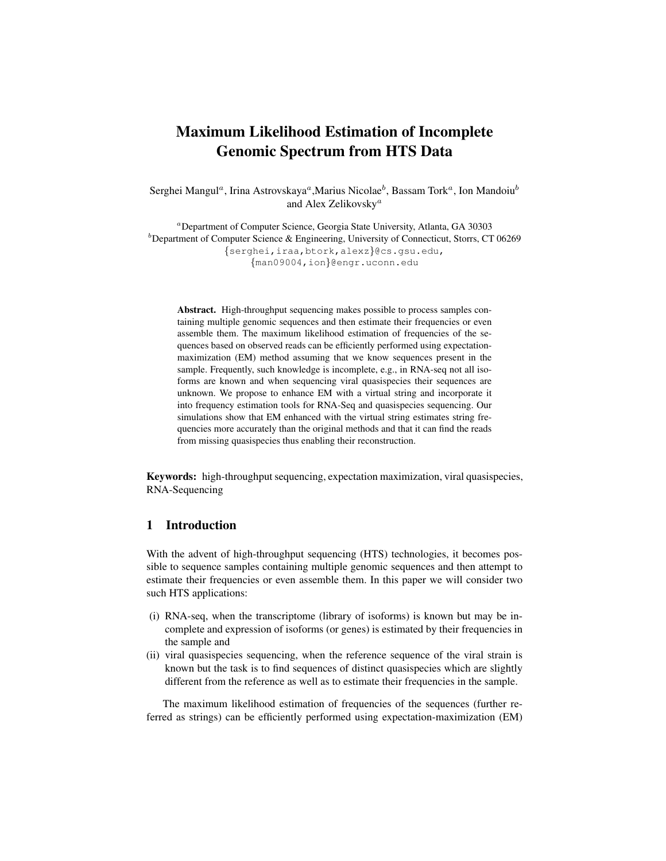# Maximum Likelihood Estimation of Incomplete Genomic Spectrum from HTS Data

Serghei Mangul<sup>a</sup>, Irina Astrovskaya<sup>a</sup>,Marius Nicolae $^b$ , Bassam Tork<sup>a</sup>, Ion Mandoiu $^b$ and Alex Zelikovsky<sup>a</sup>

<sup>a</sup>Department of Computer Science, Georgia State University, Atlanta, GA 30303  $b$ Department of Computer Science & Engineering, University of Connecticut, Storrs, CT 06269 {serghei,iraa,btork,alexz}@cs.gsu.edu, {man09004,ion}@engr.uconn.edu

Abstract. High-throughput sequencing makes possible to process samples containing multiple genomic sequences and then estimate their frequencies or even assemble them. The maximum likelihood estimation of frequencies of the sequences based on observed reads can be efficiently performed using expectationmaximization (EM) method assuming that we know sequences present in the sample. Frequently, such knowledge is incomplete, e.g., in RNA-seq not all isoforms are known and when sequencing viral quasispecies their sequences are unknown. We propose to enhance EM with a virtual string and incorporate it into frequency estimation tools for RNA-Seq and quasispecies sequencing. Our simulations show that EM enhanced with the virtual string estimates string frequencies more accurately than the original methods and that it can find the reads from missing quasispecies thus enabling their reconstruction.

Keywords: high-throughput sequencing, expectation maximization, viral quasispecies, RNA-Sequencing

# 1 Introduction

With the advent of high-throughput sequencing (HTS) technologies, it becomes possible to sequence samples containing multiple genomic sequences and then attempt to estimate their frequencies or even assemble them. In this paper we will consider two such HTS applications:

- (i) RNA-seq, when the transcriptome (library of isoforms) is known but may be incomplete and expression of isoforms (or genes) is estimated by their frequencies in the sample and
- (ii) viral quasispecies sequencing, when the reference sequence of the viral strain is known but the task is to find sequences of distinct quasispecies which are slightly different from the reference as well as to estimate their frequencies in the sample.

The maximum likelihood estimation of frequencies of the sequences (further referred as strings) can be efficiently performed using expectation-maximization (EM)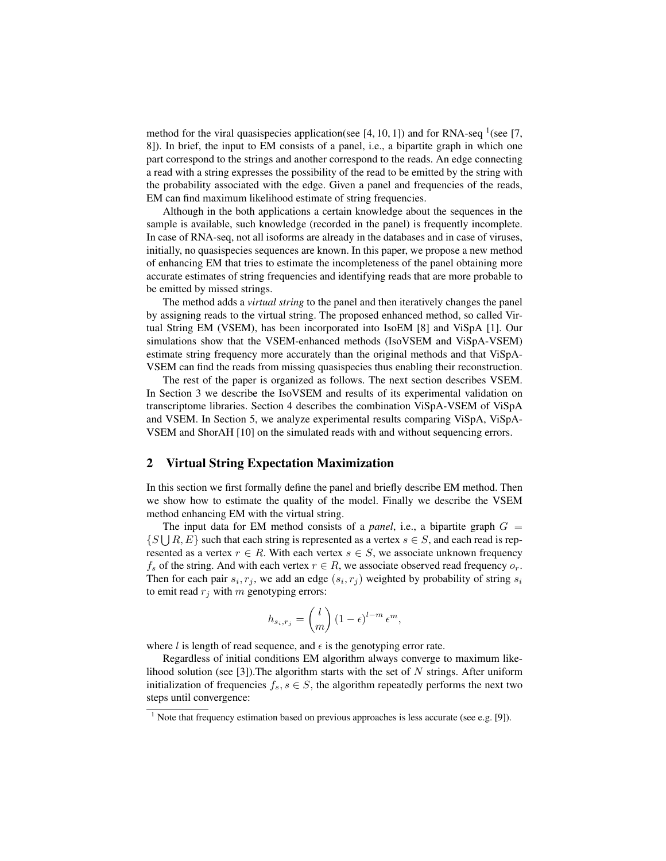method for the viral quasispecies application(see  $[4, 10, 1]$ ) and for RNA-seq  $(7, 1)$ 8]). In brief, the input to EM consists of a panel, i.e., a bipartite graph in which one part correspond to the strings and another correspond to the reads. An edge connecting a read with a string expresses the possibility of the read to be emitted by the string with the probability associated with the edge. Given a panel and frequencies of the reads, EM can find maximum likelihood estimate of string frequencies.

Although in the both applications a certain knowledge about the sequences in the sample is available, such knowledge (recorded in the panel) is frequently incomplete. In case of RNA-seq, not all isoforms are already in the databases and in case of viruses, initially, no quasispecies sequences are known. In this paper, we propose a new method of enhancing EM that tries to estimate the incompleteness of the panel obtaining more accurate estimates of string frequencies and identifying reads that are more probable to be emitted by missed strings.

The method adds a *virtual string* to the panel and then iteratively changes the panel by assigning reads to the virtual string. The proposed enhanced method, so called Virtual String EM (VSEM), has been incorporated into IsoEM [8] and ViSpA [1]. Our simulations show that the VSEM-enhanced methods (IsoVSEM and ViSpA-VSEM) estimate string frequency more accurately than the original methods and that ViSpA-VSEM can find the reads from missing quasispecies thus enabling their reconstruction.

The rest of the paper is organized as follows. The next section describes VSEM. In Section 3 we describe the IsoVSEM and results of its experimental validation on transcriptome libraries. Section 4 describes the combination ViSpA-VSEM of ViSpA and VSEM. In Section 5, we analyze experimental results comparing ViSpA, ViSpA-VSEM and ShorAH [10] on the simulated reads with and without sequencing errors.

#### 2 Virtual String Expectation Maximization

In this section we first formally define the panel and briefly describe EM method. Then we show how to estimate the quality of the model. Finally we describe the VSEM method enhancing EM with the virtual string.

The input data for EM method consists of a *panel*, i.e., a bipartite graph  $G =$  $\{S \cup R, E\}$  such that each string is represented as a vertex  $s \in S$ , and each read is represented as a vertex  $r \in R$ . With each vertex  $s \in S$ , we associate unknown frequency  $f_s$  of the string. And with each vertex  $r \in R$ , we associate observed read frequency  $o_r$ . Then for each pair  $s_i, r_j$ , we add an edge  $(s_i, r_j)$  weighted by probability of string  $s_i$ to emit read  $r_j$  with m genotyping errors:

$$
h_{s_i,r_j} = \binom{l}{m} \left(1 - \epsilon\right)^{l-m} \epsilon^m,
$$

where l is length of read sequence, and  $\epsilon$  is the genotyping error rate.

Regardless of initial conditions EM algorithm always converge to maximum likelihood solution (see [3]). The algorithm starts with the set of  $N$  strings. After uniform initialization of frequencies  $f_s, s \in S$ , the algorithm repeatedly performs the next two steps until convergence:

 $1$  Note that frequency estimation based on previous approaches is less accurate (see e.g. [9]).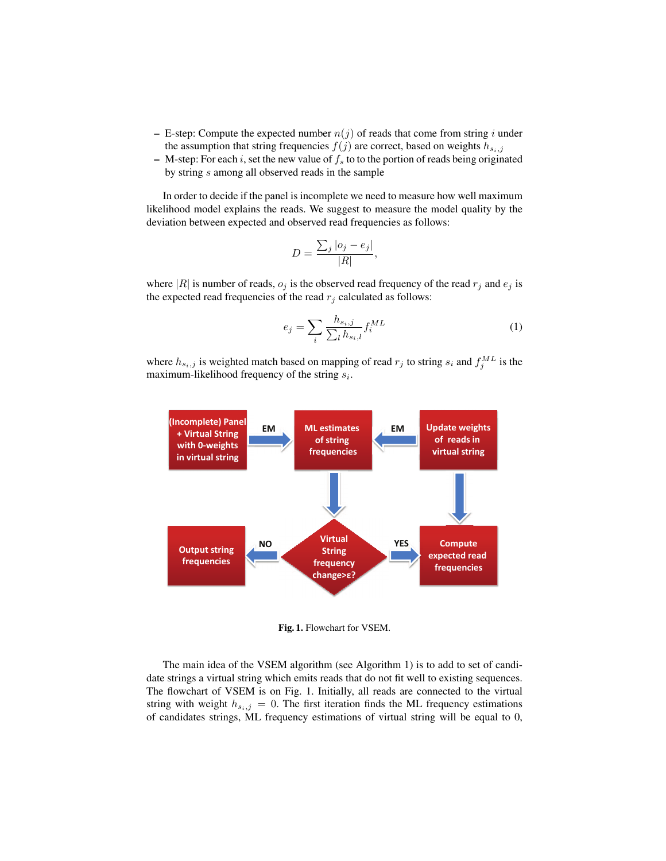- E-step: Compute the expected number  $n(j)$  of reads that come from string i under the assumption that string frequencies  $f(j)$  are correct, based on weights  $h_{s_i,j}$
- M-step: For each i, set the new value of  $f_s$  to to the portion of reads being originated by string s among all observed reads in the sample

In order to decide if the panel is incomplete we need to measure how well maximum likelihood model explains the reads. We suggest to measure the model quality by the deviation between expected and observed read frequencies as follows:

$$
D = \frac{\sum_{j} |o_j - e_j|}{|R|},
$$

where |R| is number of reads,  $o_j$  is the observed read frequency of the read  $r_j$  and  $e_j$  is the expected read frequencies of the read  $r_j$  calculated as follows:

$$
e_j = \sum_i \frac{h_{s_i,j}}{\sum_l h_{s_i,l}} f_i^{ML} \tag{1}
$$

where  $h_{s_i,j}$  is weighted match based on mapping of read  $r_j$  to string  $s_i$  and  $f_j^{ML}$  is the maximum-likelihood frequency of the string  $s_i$ .



Fig. 1. Flowchart for VSEM.

The main idea of the VSEM algorithm (see Algorithm 1) is to add to set of candidate strings a virtual string which emits reads that do not fit well to existing sequences. The flowchart of VSEM is on Fig. 1. Initially, all reads are connected to the virtual string with weight  $h_{s_i,j} = 0$ . The first iteration finds the ML frequency estimations of candidates strings, ML frequency estimations of virtual string will be equal to 0,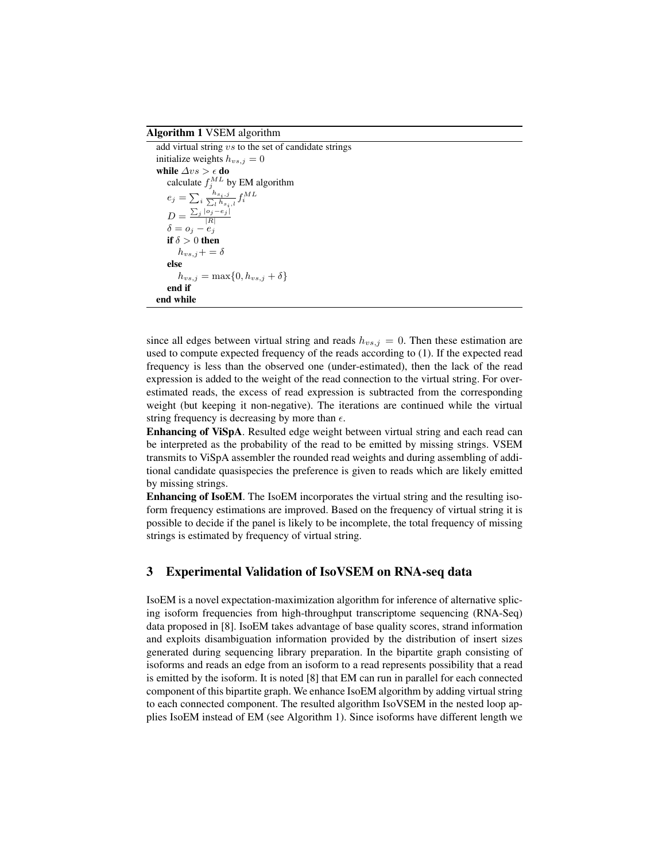#### Algorithm 1 VSEM algorithm

add virtual string vs to the set of candidate strings initialize weights  $h_{vs,j} = 0$ while  $\triangle vs > \epsilon$  do calculate  $f_j^{ML}$  by EM algorithm  $e_j = \sum_i \frac{h_{s_i,j}}{\sum_l h_{s_i,l}} f_i^{ML}$  $D = \frac{\sum_j |o_j - e_j|}{|R|}$  $\delta = o_j - e_j$ if  $\delta > 0$  then  $h_{vs,j}+=\delta$ else  $h_{vs,j} = \max\{0, h_{vs,j} + \delta\}$ end if end while

since all edges between virtual string and reads  $h_{vs,j} = 0$ . Then these estimation are used to compute expected frequency of the reads according to (1). If the expected read frequency is less than the observed one (under-estimated), then the lack of the read expression is added to the weight of the read connection to the virtual string. For overestimated reads, the excess of read expression is subtracted from the corresponding weight (but keeping it non-negative). The iterations are continued while the virtual string frequency is decreasing by more than  $\epsilon$ .

Enhancing of ViSpA. Resulted edge weight between virtual string and each read can be interpreted as the probability of the read to be emitted by missing strings. VSEM transmits to ViSpA assembler the rounded read weights and during assembling of additional candidate quasispecies the preference is given to reads which are likely emitted by missing strings.

Enhancing of IsoEM. The IsoEM incorporates the virtual string and the resulting isoform frequency estimations are improved. Based on the frequency of virtual string it is possible to decide if the panel is likely to be incomplete, the total frequency of missing strings is estimated by frequency of virtual string.

### 3 Experimental Validation of IsoVSEM on RNA-seq data

IsoEM is a novel expectation-maximization algorithm for inference of alternative splicing isoform frequencies from high-throughput transcriptome sequencing (RNA-Seq) data proposed in [8]. IsoEM takes advantage of base quality scores, strand information and exploits disambiguation information provided by the distribution of insert sizes generated during sequencing library preparation. In the bipartite graph consisting of isoforms and reads an edge from an isoform to a read represents possibility that a read is emitted by the isoform. It is noted [8] that EM can run in parallel for each connected component of this bipartite graph. We enhance IsoEM algorithm by adding virtual string to each connected component. The resulted algorithm IsoVSEM in the nested loop applies IsoEM instead of EM (see Algorithm 1). Since isoforms have different length we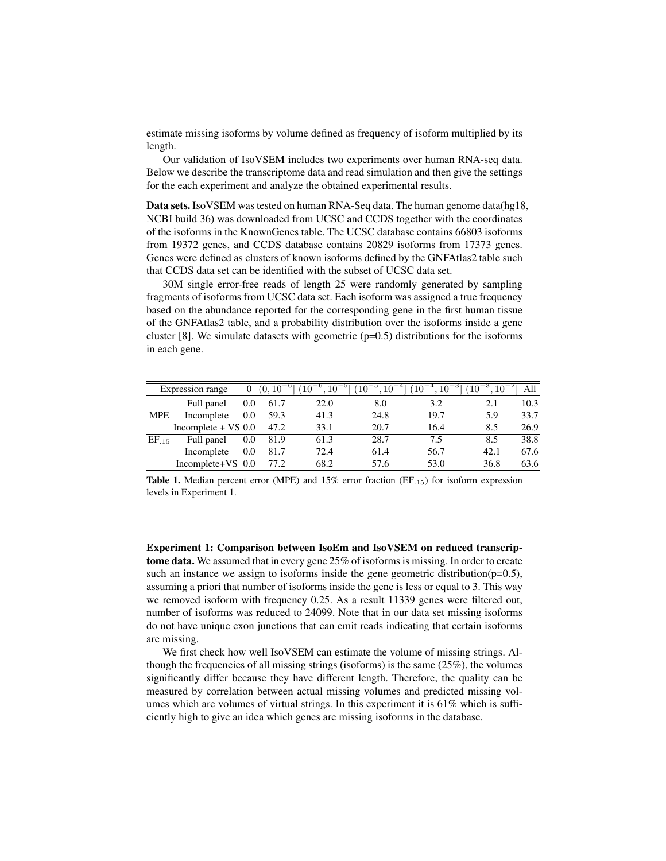estimate missing isoforms by volume defined as frequency of isoform multiplied by its length.

Our validation of IsoVSEM includes two experiments over human RNA-seq data. Below we describe the transcriptome data and read simulation and then give the settings for the each experiment and analyze the obtained experimental results.

Data sets. IsoVSEM was tested on human RNA-Seq data. The human genome data(hg18, NCBI build 36) was downloaded from UCSC and CCDS together with the coordinates of the isoforms in the KnownGenes table. The UCSC database contains 66803 isoforms from 19372 genes, and CCDS database contains 20829 isoforms from 17373 genes. Genes were defined as clusters of known isoforms defined by the GNFAtlas2 table such that CCDS data set can be identified with the subset of UCSC data set.

30M single error-free reads of length 25 were randomly generated by sampling fragments of isoforms from UCSC data set. Each isoform was assigned a true frequency based on the abundance reported for the corresponding gene in the first human tissue of the GNFAtlas2 table, and a probability distribution over the isoforms inside a gene cluster [8]. We simulate datasets with geometric  $(p=0.5)$  distributions for the isoforms in each gene.

|            | Expression range      |     |      |      | $\frac{1}{2}$ 0 $\frac{(0, 10^{-6} \times 10^{-6}, 10^{-5} \times 10^{-5}, 10^{-4} \times 10^{-4}, 10^{-3} \times 10^{-3} \times 10^{-2})}{10^{-3} \times 10^{-3} \times 10^{-3} \times 10^{-3} \times 10^{-3} \times 10^{-3} \times 10^{-3} \times 10^{-3} \times 10^{-3} \times 10^{-3} \times 10^{-3} \times 10^{-3} \times 10^{-3} \times 10^{-3} \times 10^{-3} \times 10^{-3} \times 10^{-3} \times 10$ |      |      |      |
|------------|-----------------------|-----|------|------|---------------------------------------------------------------------------------------------------------------------------------------------------------------------------------------------------------------------------------------------------------------------------------------------------------------------------------------------------------------------------------------------------------------|------|------|------|
|            | Full panel            | 0.0 | 61.7 | 22.0 | 8.0                                                                                                                                                                                                                                                                                                                                                                                                           | 3.2  | 2.1  | 10.3 |
| <b>MPE</b> | Incomplete            | 0.0 | 59.3 | 41.3 | 24.8                                                                                                                                                                                                                                                                                                                                                                                                          | 19.7 | 5.9  | 33.7 |
|            | Incomplete $+$ VS 0.0 |     | 47.2 | 33.1 | 20.7                                                                                                                                                                                                                                                                                                                                                                                                          | 16.4 | 8.5  | 26.9 |
| $EF_{15}$  | Full panel            | 0.0 | 81.9 | 61.3 | 28.7                                                                                                                                                                                                                                                                                                                                                                                                          | 7.5  | 8.5  | 38.8 |
|            | Incomplete            | 0.0 | 81.7 | 72.4 | 61.4                                                                                                                                                                                                                                                                                                                                                                                                          | 56.7 | 42.1 | 67.6 |
|            | Incomplete+VS 0.0     |     | 77.2 | 68.2 | 57.6                                                                                                                                                                                                                                                                                                                                                                                                          | 53.0 | 36.8 | 63.6 |

Table 1. Median percent error (MPE) and 15% error fraction (EF.15) for isoform expression levels in Experiment 1.

Experiment 1: Comparison between IsoEm and IsoVSEM on reduced transcriptome data. We assumed that in every gene 25% of isoforms is missing. In order to create such an instance we assign to isoforms inside the gene geometric distribution( $p=0.5$ ), assuming a priori that number of isoforms inside the gene is less or equal to 3. This way we removed isoform with frequency 0.25. As a result 11339 genes were filtered out, number of isoforms was reduced to 24099. Note that in our data set missing isoforms do not have unique exon junctions that can emit reads indicating that certain isoforms are missing.

We first check how well IsoVSEM can estimate the volume of missing strings. Although the frequencies of all missing strings (isoforms) is the same  $(25\%)$ , the volumes significantly differ because they have different length. Therefore, the quality can be measured by correlation between actual missing volumes and predicted missing volumes which are volumes of virtual strings. In this experiment it is 61% which is sufficiently high to give an idea which genes are missing isoforms in the database.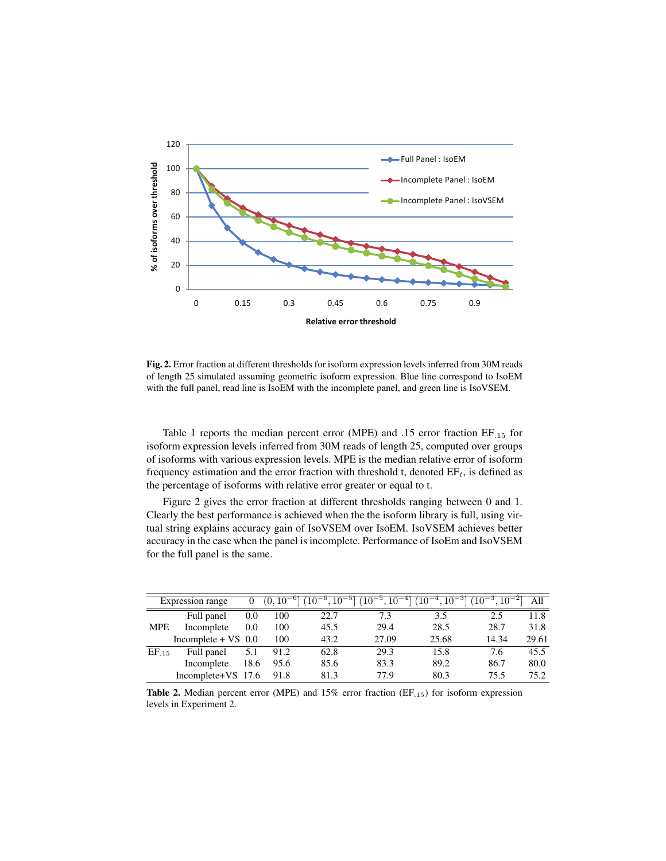

Fig. 2. Error fraction at different thresholds for isoform expression levels inferred from 30M reads of length 25 simulated assuming geometric isoform expression. Blue line correspond to IsoEM with the full panel, read line is IsoEM with the incomplete panel, and green line is IsoVSEM.

Table 1 reports the median percent error (MPE) and .15 error fraction EF.<sup>15</sup> for isoform expression levels inferred from 30M reads of length 25, computed over groups of isoforms with various expression levels. MPE is the median relative error of isoform frequency estimation and the error fraction with threshold t, denoted  $EF_t$ , is defined as the percentage of isoforms with relative error greater or equal to t.

Figure 2 gives the error fraction at different thresholds ranging between 0 and 1. Clearly the best performance is achieved when the the isoform library is full, using virtual string explains accuracy gain of IsoVSEM over IsoEM. IsoVSEM achieves better accuracy in the case when the panel is incomplete. Performance of IsoEm and IsoVSEM for the full panel is the same.

|            | Expression range      |      | 10   | $10^{-5}$ | .10 <sup>°</sup><br>$10^{-}$ | $10^{-}$ |       | All   |
|------------|-----------------------|------|------|-----------|------------------------------|----------|-------|-------|
|            | Full panel            | 0.0  | 100  | 22.7      | 7.3                          | 3.5      | 2.5   | 11.8  |
| <b>MPE</b> | Incomplete            | 0.0  | 100  | 45.5      | 29.4                         | 28.5     | 28.7  | 31.8  |
|            | Incomplete $+$ VS 0.0 |      | 100  | 43.2      | 27.09                        | 25.68    | 14.34 | 29.61 |
| $EF_{.15}$ | Full panel            | 5.1  | 91.2 | 62.8      | 29.3                         | 15.8     | 7.6   | 45.5  |
|            | Incomplete            | 18.6 | 95.6 | 85.6      | 83.3                         | 89.2     | 86.7  | 80.0  |
|            | Incomplete+VS 17.6    |      | 91.8 | 81.3      | 77.9                         | 80.3     | 75.5  | 75.2  |

Table 2. Median percent error (MPE) and 15% error fraction (EF.15) for isoform expression levels in Experiment 2.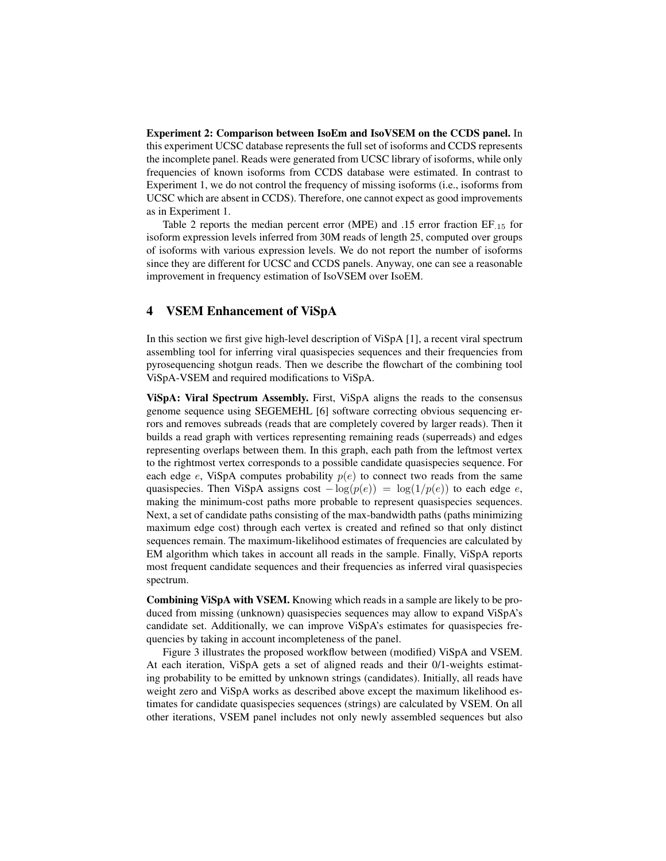Experiment 2: Comparison between IsoEm and IsoVSEM on the CCDS panel. In this experiment UCSC database represents the full set of isoforms and CCDS represents the incomplete panel. Reads were generated from UCSC library of isoforms, while only frequencies of known isoforms from CCDS database were estimated. In contrast to Experiment 1, we do not control the frequency of missing isoforms (i.e., isoforms from UCSC which are absent in CCDS). Therefore, one cannot expect as good improvements as in Experiment 1.

Table 2 reports the median percent error (MPE) and .15 error fraction EF.<sup>15</sup> for isoform expression levels inferred from 30M reads of length 25, computed over groups of isoforms with various expression levels. We do not report the number of isoforms since they are different for UCSC and CCDS panels. Anyway, one can see a reasonable improvement in frequency estimation of IsoVSEM over IsoEM.

#### 4 VSEM Enhancement of ViSpA

In this section we first give high-level description of ViSpA [1], a recent viral spectrum assembling tool for inferring viral quasispecies sequences and their frequencies from pyrosequencing shotgun reads. Then we describe the flowchart of the combining tool ViSpA-VSEM and required modifications to ViSpA.

ViSpA: Viral Spectrum Assembly. First, ViSpA aligns the reads to the consensus genome sequence using SEGEMEHL [6] software correcting obvious sequencing errors and removes subreads (reads that are completely covered by larger reads). Then it builds a read graph with vertices representing remaining reads (superreads) and edges representing overlaps between them. In this graph, each path from the leftmost vertex to the rightmost vertex corresponds to a possible candidate quasispecies sequence. For each edge e, ViSpA computes probability  $p(e)$  to connect two reads from the same quasispecies. Then ViSpA assigns cost  $-\log(p(e)) = \log(1/p(e))$  to each edge e, making the minimum-cost paths more probable to represent quasispecies sequences. Next, a set of candidate paths consisting of the max-bandwidth paths (paths minimizing maximum edge cost) through each vertex is created and refined so that only distinct sequences remain. The maximum-likelihood estimates of frequencies are calculated by EM algorithm which takes in account all reads in the sample. Finally, ViSpA reports most frequent candidate sequences and their frequencies as inferred viral quasispecies spectrum.

Combining ViSpA with VSEM. Knowing which reads in a sample are likely to be produced from missing (unknown) quasispecies sequences may allow to expand ViSpA's candidate set. Additionally, we can improve ViSpA's estimates for quasispecies frequencies by taking in account incompleteness of the panel.

Figure 3 illustrates the proposed workflow between (modified) ViSpA and VSEM. At each iteration, ViSpA gets a set of aligned reads and their 0/1-weights estimating probability to be emitted by unknown strings (candidates). Initially, all reads have weight zero and ViSpA works as described above except the maximum likelihood estimates for candidate quasispecies sequences (strings) are calculated by VSEM. On all other iterations, VSEM panel includes not only newly assembled sequences but also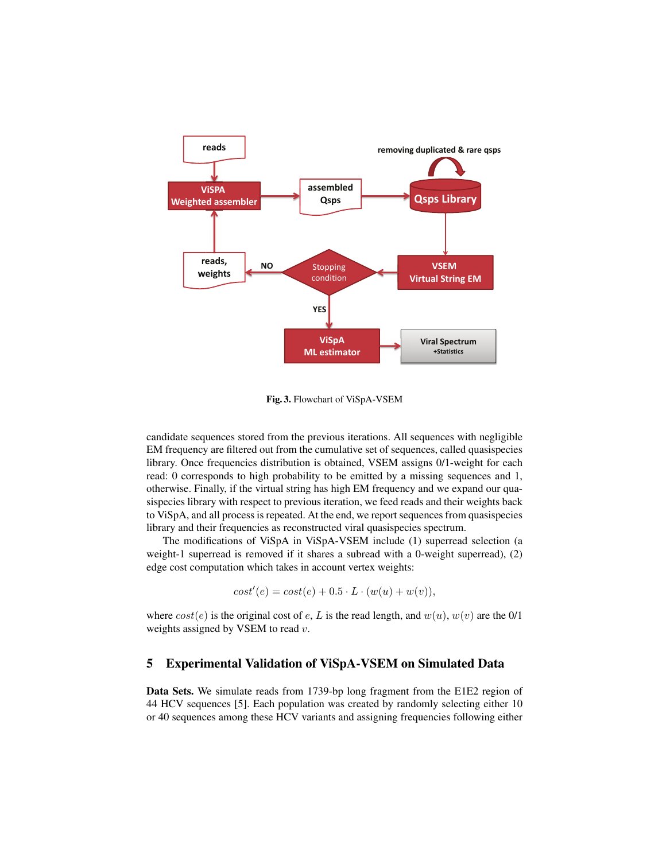

Fig. 3. Flowchart of ViSpA-VSEM

candidate sequences stored from the previous iterations. All sequences with negligible EM frequency are filtered out from the cumulative set of sequences, called quasispecies library. Once frequencies distribution is obtained, VSEM assigns 0/1-weight for each read: 0 corresponds to high probability to be emitted by a missing sequences and 1, otherwise. Finally, if the virtual string has high EM frequency and we expand our quasispecies library with respect to previous iteration, we feed reads and their weights back to ViSpA, and all process is repeated. At the end, we report sequences from quasispecies library and their frequencies as reconstructed viral quasispecies spectrum.

The modifications of ViSpA in ViSpA-VSEM include (1) superread selection (a weight-1 superread is removed if it shares a subread with a 0-weight superread), (2) edge cost computation which takes in account vertex weights:

$$
cost'(e) = cost(e) + 0.5 \cdot L \cdot (w(u) + w(v)),
$$

where  $cost(e)$  is the original cost of e, L is the read length, and  $w(u)$ ,  $w(v)$  are the 0/1 weights assigned by VSEM to read  $v$ .

# 5 Experimental Validation of ViSpA-VSEM on Simulated Data

Data Sets. We simulate reads from 1739-bp long fragment from the E1E2 region of 44 HCV sequences [5]. Each population was created by randomly selecting either 10 or 40 sequences among these HCV variants and assigning frequencies following either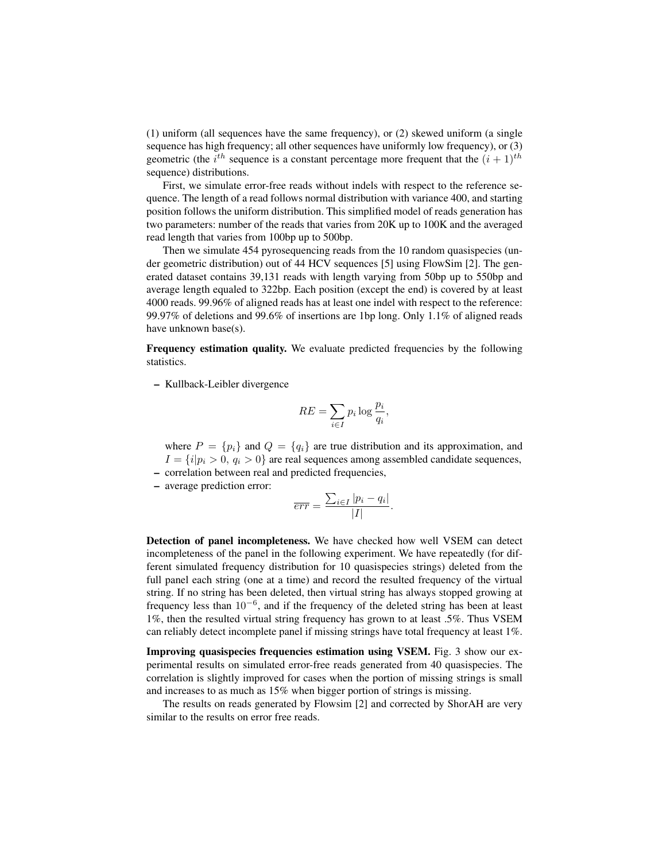(1) uniform (all sequences have the same frequency), or (2) skewed uniform (a single sequence has high frequency; all other sequences have uniformly low frequency), or (3) geometric (the  $i^{th}$  sequence is a constant percentage more frequent that the  $(i + 1)^{th}$ sequence) distributions.

First, we simulate error-free reads without indels with respect to the reference sequence. The length of a read follows normal distribution with variance 400, and starting position follows the uniform distribution. This simplified model of reads generation has two parameters: number of the reads that varies from 20K up to 100K and the averaged read length that varies from 100bp up to 500bp.

Then we simulate 454 pyrosequencing reads from the 10 random quasispecies (under geometric distribution) out of 44 HCV sequences [5] using FlowSim [2]. The generated dataset contains 39,131 reads with length varying from 50bp up to 550bp and average length equaled to 322bp. Each position (except the end) is covered by at least 4000 reads. 99.96% of aligned reads has at least one indel with respect to the reference: 99.97% of deletions and 99.6% of insertions are 1bp long. Only 1.1% of aligned reads have unknown base(s).

Frequency estimation quality. We evaluate predicted frequencies by the following statistics.

– Kullback-Leibler divergence

$$
RE = \sum_{i \in I} p_i \log \frac{p_i}{q_i},
$$

where  $P = \{p_i\}$  and  $Q = \{q_i\}$  are true distribution and its approximation, and  $I = \{i|p_i > 0, q_i > 0\}$  are real sequences among assembled candidate sequences,

- correlation between real and predicted frequencies,
- average prediction error:

$$
\overline{err} = \frac{\sum_{i \in I} |p_i - q_i|}{|I|}.
$$

Detection of panel incompleteness. We have checked how well VSEM can detect incompleteness of the panel in the following experiment. We have repeatedly (for different simulated frequency distribution for 10 quasispecies strings) deleted from the full panel each string (one at a time) and record the resulted frequency of the virtual string. If no string has been deleted, then virtual string has always stopped growing at frequency less than  $10^{-6}$ , and if the frequency of the deleted string has been at least 1%, then the resulted virtual string frequency has grown to at least .5%. Thus VSEM can reliably detect incomplete panel if missing strings have total frequency at least 1%.

Improving quasispecies frequencies estimation using VSEM. Fig. 3 show our experimental results on simulated error-free reads generated from 40 quasispecies. The correlation is slightly improved for cases when the portion of missing strings is small and increases to as much as 15% when bigger portion of strings is missing.

The results on reads generated by Flowsim [2] and corrected by ShorAH are very similar to the results on error free reads.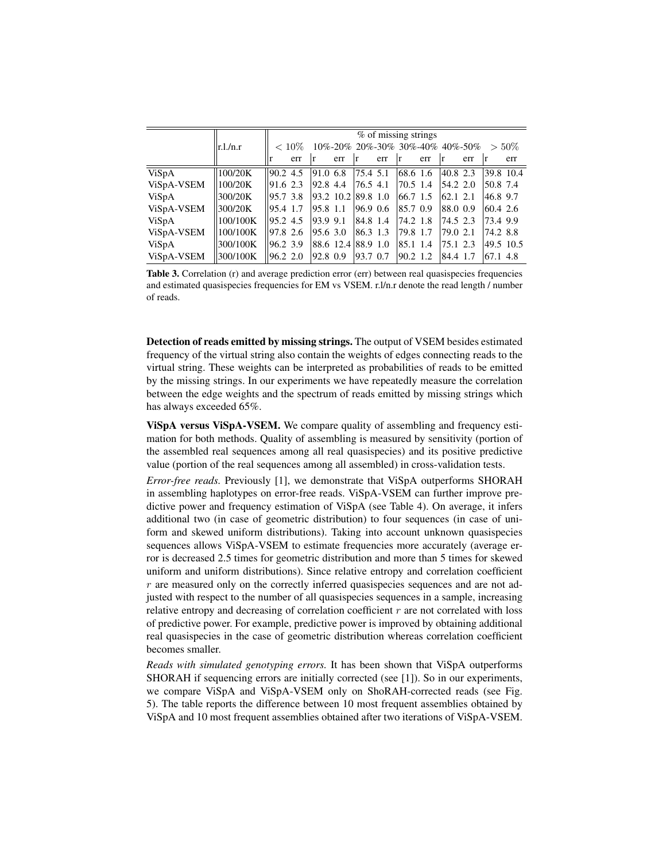|              |            | $%$ of missing strings |          |          |                              |               |     |                                                          |     |                        |     |           |           |
|--------------|------------|------------------------|----------|----------|------------------------------|---------------|-----|----------------------------------------------------------|-----|------------------------|-----|-----------|-----------|
|              | $ r l_{n}$ |                        | $< 10\%$ |          |                              |               |     | $10\% - 20\% 20\% - 30\% 30\% - 40\% 40\% - 50\% > 50\%$ |     |                        |     |           |           |
|              |            |                        | err      | ١r       | err                          | ١r            | err | ١r                                                       | err | l r                    | err | ١r        | err       |
| <b>ViSpA</b> | 100/20K    | 90.2 4.5               |          | 91.0 6.8 |                              | $ 75.4 \t5.1$ |     | 68.6 1.6                                                 |     | 40.8 2.3               |     |           | 39.8 10.4 |
| ViSpA-VSEM   | 100/20K    | 91.62.3                |          | 92.8 4.4 |                              | $ 76.5 \t4.1$ |     | $ 70.5 \t1.4 $                                           |     | $154.2$ 2.0            |     | 50.8 7.4  |           |
| ViSpA        | 300/20K    | 95.7 3.8               |          |          | $ 93.2 \t10.2 \t 89.8 \t1.0$ |               |     | 66.7 1.5                                                 |     | $\vert 62.1 \, 2.1 \,$ |     | 46.8 9.7  |           |
| ViSpA-VSEM   | 300/20K    | 95.4 1.7               |          | 95.8 1.1 |                              | $ 96.9 \t0.6$ |     | 85.7 0.9                                                 |     | 88.0 0.9               |     | 60.4 2.6  |           |
| ViSpA        | 100/100K   | 95.2 4.5               |          | 93.9 9.1 |                              | 84.8 1.4      |     | $ 74.2 \t1.8 $                                           |     | 74.5 2.3               |     | 173.4 9.9 |           |
| ViSpA-VSEM   | 100/100K   | 97.8 2.6               |          | 95.6 3.0 |                              | $ 86.3 \t1.3$ |     | 179.8 1.7                                                |     | 79.0 2.1               |     | 74.2 8.8  |           |
| ViSpA        | 300/100K   | 96.2 3.9               |          |          | 88.6 12.4 88.9 1.0           |               |     | 85.1 1.4                                                 |     | 175.1 2.3              |     |           | 49.5 10.5 |
| ViSpA-VSEM   | 300/100K   | 96.2 2.0               |          | 92.8 0.9 |                              | $ 93.7 \t0.7$ |     | $ 90.2 \t1.2 $                                           |     | 84.4 1.7               |     | 67.1 4.8  |           |

Table 3. Correlation (r) and average prediction error (err) between real quasispecies frequencies and estimated quasispecies frequencies for EM vs VSEM. r.l/n.r denote the read length / number of reads.

Detection of reads emitted by missing strings. The output of VSEM besides estimated frequency of the virtual string also contain the weights of edges connecting reads to the virtual string. These weights can be interpreted as probabilities of reads to be emitted by the missing strings. In our experiments we have repeatedly measure the correlation between the edge weights and the spectrum of reads emitted by missing strings which has always exceeded 65%.

ViSpA versus ViSpA-VSEM. We compare quality of assembling and frequency estimation for both methods. Quality of assembling is measured by sensitivity (portion of the assembled real sequences among all real quasispecies) and its positive predictive value (portion of the real sequences among all assembled) in cross-validation tests.

*Error-free reads.* Previously [1], we demonstrate that ViSpA outperforms SHORAH in assembling haplotypes on error-free reads. ViSpA-VSEM can further improve predictive power and frequency estimation of ViSpA (see Table 4). On average, it infers additional two (in case of geometric distribution) to four sequences (in case of uniform and skewed uniform distributions). Taking into account unknown quasispecies sequences allows ViSpA-VSEM to estimate frequencies more accurately (average error is decreased 2.5 times for geometric distribution and more than 5 times for skewed uniform and uniform distributions). Since relative entropy and correlation coefficient  $r$  are measured only on the correctly inferred quasispecies sequences and are not adjusted with respect to the number of all quasispecies sequences in a sample, increasing relative entropy and decreasing of correlation coefficient  $r$  are not correlated with loss of predictive power. For example, predictive power is improved by obtaining additional real quasispecies in the case of geometric distribution whereas correlation coefficient becomes smaller.

*Reads with simulated genotyping errors.* It has been shown that ViSpA outperforms SHORAH if sequencing errors are initially corrected (see [1]). So in our experiments, we compare ViSpA and ViSpA-VSEM only on ShoRAH-corrected reads (see Fig. 5). The table reports the difference between 10 most frequent assemblies obtained by ViSpA and 10 most frequent assemblies obtained after two iterations of ViSpA-VSEM.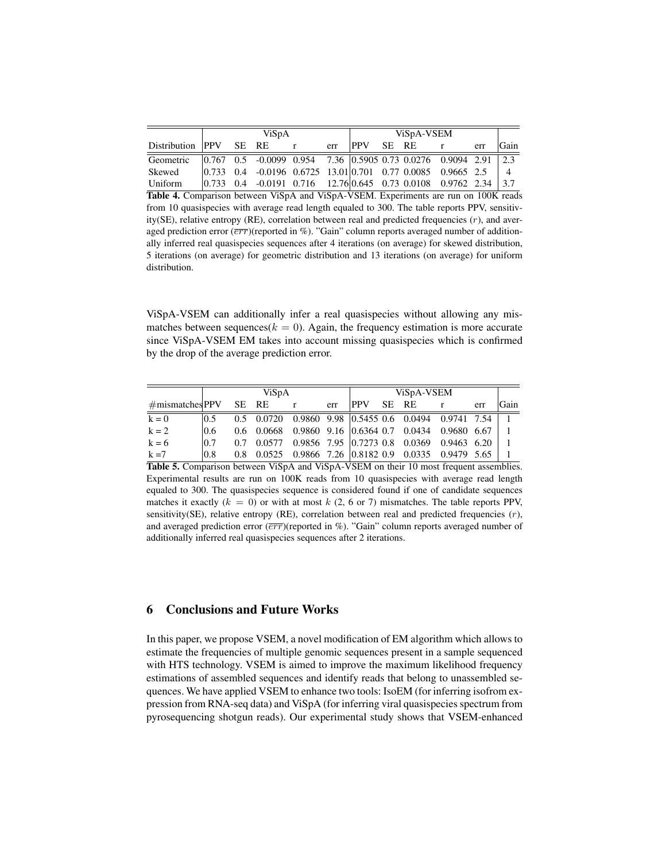|                          |  | ViSpA |                                                                                                                            | ViSpA-VSEM |     |            |  |       |              |     |      |
|--------------------------|--|-------|----------------------------------------------------------------------------------------------------------------------------|------------|-----|------------|--|-------|--------------|-----|------|
| Distribution PPV SE RE r |  |       |                                                                                                                            |            | err | <b>PPV</b> |  | SE RE | $\mathbf{r}$ | err | Gain |
| Geometric                |  |       |                                                                                                                            |            |     |            |  |       |              |     |      |
| Skewed                   |  |       | $\begin{array}{cccccc} 0.733 & 0.4 & -0.0196 & 0.6725 & 13.01 & 0.701 & 0.77 & 0.0085 & 0.9665 & 2.5 \end{array}$          |            |     |            |  |       |              |     |      |
| Uniform                  |  |       | $\begin{array}{ccccccccc} 0.733 & 0.4 & -0.0191 & 0.716 & 12.76 & 0.645 & 0.73 & 0.0108 & 0.9762 & 2.34 & 3.7 \end{array}$ |            |     |            |  |       |              |     |      |

Table 4. Comparison between ViSpA and ViSpA-VSEM. Experiments are run on 100K reads from 10 quasispecies with average read length equaled to 300. The table reports PPV, sensitivity( $SE$ ), relative entropy ( $RE$ ), correlation between real and predicted frequencies  $(r)$ , and averaged prediction error  $(\overline{err})$ (reported in %). "Gain" column reports averaged number of additionally inferred real quasispecies sequences after 4 iterations (on average) for skewed distribution, 5 iterations (on average) for geometric distribution and 13 iterations (on average) for uniform distribution.

ViSpA-VSEM can additionally infer a real quasispecies without allowing any mismatches between sequences( $k = 0$ ). Again, the frequency estimation is more accurate since ViSpA-VSEM EM takes into account missing quasispecies which is confirmed by the drop of the average prediction error.

|                             |      | ViSpA |     | ViSpA-VSEM |       |                                                      |  |     |      |
|-----------------------------|------|-------|-----|------------|-------|------------------------------------------------------|--|-----|------|
| $\#$ mismatches PPV SE RE r |      |       | err | <b>PPV</b> | SE RE |                                                      |  | err | Gain |
| $k = 0$                     | 10.5 |       |     |            |       | 0.5 0.0720 0.9860 9.98 0.5455 0.6 0.0494 0.9741 7.54 |  |     |      |
| $k = 2$                     | 10.6 |       |     |            |       | 0.6 0.0668 0.9860 9.16 0.6364 0.7 0.0434 0.9680 6.67 |  |     |      |
| $k = 6$                     | 0.7  |       |     |            |       | 0.7 0.0577 0.9856 7.95 0.7273 0.8 0.0369 0.9463 6.20 |  |     |      |
| $k = 7$                     | 10.8 |       |     |            |       | 0.8 0.0525 0.9866 7.26 0.8182 0.9 0.0335 0.9479 5.65 |  |     |      |

Table 5. Comparison between ViSpA and ViSpA-VSEM on their 10 most frequent assemblies. Experimental results are run on 100K reads from 10 quasispecies with average read length equaled to 300. The quasispecies sequence is considered found if one of candidate sequences matches it exactly  $(k = 0)$  or with at most k  $(2, 6 \text{ or } 7)$  mismatches. The table reports PPV, sensitivity(SE), relative entropy (RE), correlation between real and predicted frequencies  $(r)$ , and averaged prediction error  $(\overline{err})$ (reported in %). "Gain" column reports averaged number of additionally inferred real quasispecies sequences after 2 iterations.

# 6 Conclusions and Future Works

In this paper, we propose VSEM, a novel modification of EM algorithm which allows to estimate the frequencies of multiple genomic sequences present in a sample sequenced with HTS technology. VSEM is aimed to improve the maximum likelihood frequency estimations of assembled sequences and identify reads that belong to unassembled sequences. We have applied VSEM to enhance two tools: IsoEM (for inferring isofrom expression from RNA-seq data) and ViSpA (for inferring viral quasispecies spectrum from pyrosequencing shotgun reads). Our experimental study shows that VSEM-enhanced